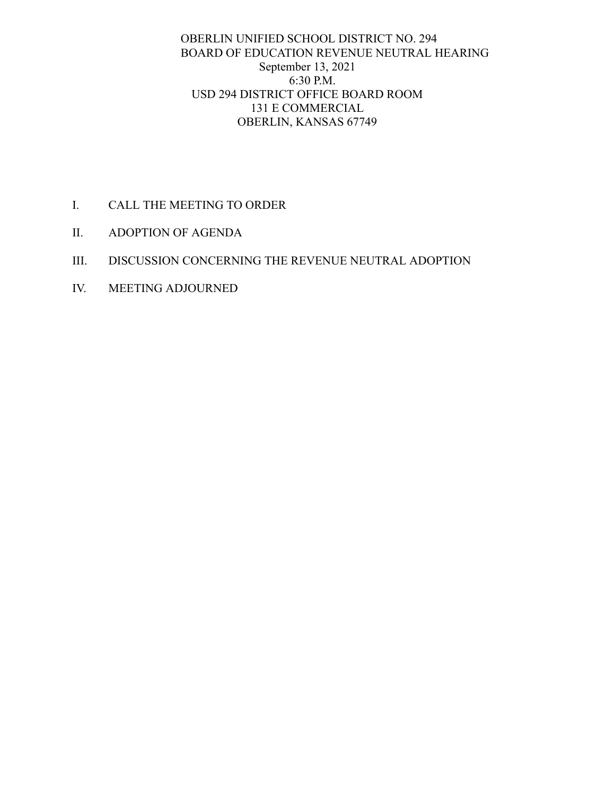## OBERLIN UNIFIED SCHOOL DISTRICT NO. 294 BOARD OF EDUCATION REVENUE NEUTRAL HEARING September 13, 2021 6:30 P.M. USD 294 DISTRICT OFFICE BOARD ROOM 131 E COMMERCIAL OBERLIN, KANSAS 67749

- I. CALL THE MEETING TO ORDER
- II. ADOPTION OF AGENDA
- III. DISCUSSION CONCERNING THE REVENUE NEUTRAL ADOPTION
- IV. MEETING ADJOURNED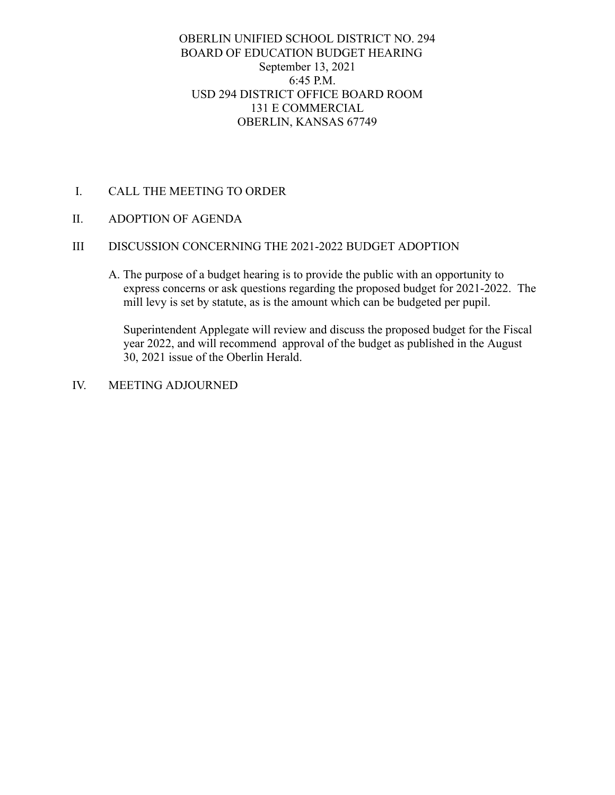## OBERLIN UNIFIED SCHOOL DISTRICT NO. 294 BOARD OF EDUCATION BUDGET HEARING September 13, 2021 6:45 P.M. USD 294 DISTRICT OFFICE BOARD ROOM 131 E COMMERCIAL OBERLIN, KANSAS 67749

- I. CALL THE MEETING TO ORDER
- II. ADOPTION OF AGENDA

## III DISCUSSION CONCERNING THE 2021-2022 BUDGET ADOPTION

A. The purpose of a budget hearing is to provide the public with an opportunity to express concerns or ask questions regarding the proposed budget for 2021-2022. The mill levy is set by statute, as is the amount which can be budgeted per pupil.

Superintendent Applegate will review and discuss the proposed budget for the Fiscal year 2022, and will recommend approval of the budget as published in the August 30, 2021 issue of the Oberlin Herald.

IV. MEETING ADJOURNED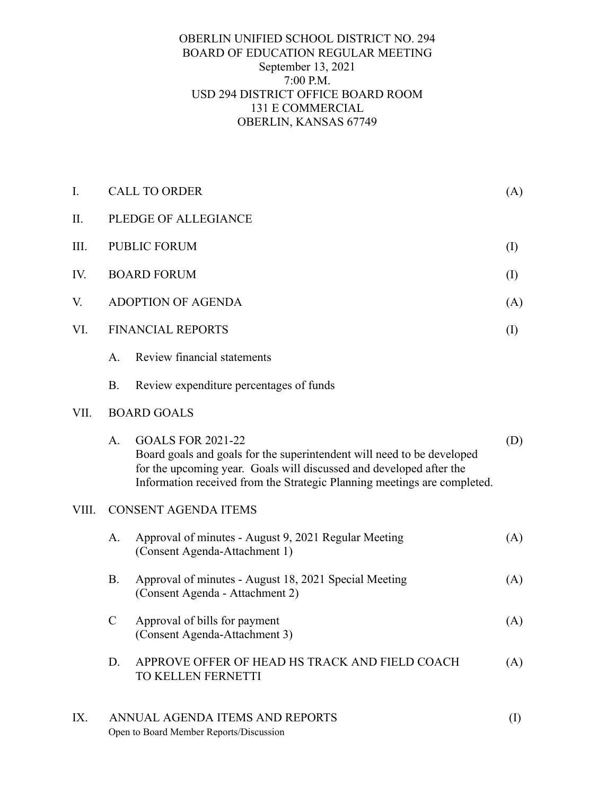## OBERLIN UNIFIED SCHOOL DISTRICT NO. 294 BOARD OF EDUCATION REGULAR MEETING September 13, 2021 7:00 P.M. USD 294 DISTRICT OFFICE BOARD ROOM 131 E COMMERCIAL OBERLIN, KANSAS 67749

| I.    | <b>CALL TO ORDER</b><br>(A)                                                             |                                                                                                                                                                                                                                                       |     |  |
|-------|-----------------------------------------------------------------------------------------|-------------------------------------------------------------------------------------------------------------------------------------------------------------------------------------------------------------------------------------------------------|-----|--|
| II.   | PLEDGE OF ALLEGIANCE                                                                    |                                                                                                                                                                                                                                                       |     |  |
| III.  | <b>PUBLIC FORUM</b><br>$\rm (I)$                                                        |                                                                                                                                                                                                                                                       |     |  |
| IV.   | <b>BOARD FORUM</b>                                                                      |                                                                                                                                                                                                                                                       |     |  |
| V.    | <b>ADOPTION OF AGENDA</b>                                                               |                                                                                                                                                                                                                                                       | (A) |  |
| VI.   | <b>FINANCIAL REPORTS</b>                                                                |                                                                                                                                                                                                                                                       |     |  |
|       | A.                                                                                      | Review financial statements                                                                                                                                                                                                                           |     |  |
|       | <b>B.</b>                                                                               | Review expenditure percentages of funds                                                                                                                                                                                                               |     |  |
| VII.  | <b>BOARD GOALS</b>                                                                      |                                                                                                                                                                                                                                                       |     |  |
|       | A.                                                                                      | <b>GOALS FOR 2021-22</b><br>Board goals and goals for the superintendent will need to be developed<br>for the upcoming year. Goals will discussed and developed after the<br>Information received from the Strategic Planning meetings are completed. | (D) |  |
| VIII. | <b>CONSENT AGENDA ITEMS</b>                                                             |                                                                                                                                                                                                                                                       |     |  |
|       | A.                                                                                      | Approval of minutes - August 9, 2021 Regular Meeting<br>(Consent Agenda-Attachment 1)                                                                                                                                                                 | (A) |  |
|       | <b>B.</b>                                                                               | Approval of minutes - August 18, 2021 Special Meeting<br>(Consent Agenda - Attachment 2)                                                                                                                                                              | (A) |  |
|       | $\mathbf C$                                                                             | Approval of bills for payment<br>(Consent Agenda-Attachment 3)                                                                                                                                                                                        | (A) |  |
|       | D.                                                                                      | APPROVE OFFER OF HEAD HS TRACK AND FIELD COACH<br>TO KELLEN FERNETTI                                                                                                                                                                                  | (A) |  |
| IX.   | ANNUAL AGENDA ITEMS AND REPORTS<br>$\rm (I)$<br>Open to Board Member Reports/Discussion |                                                                                                                                                                                                                                                       |     |  |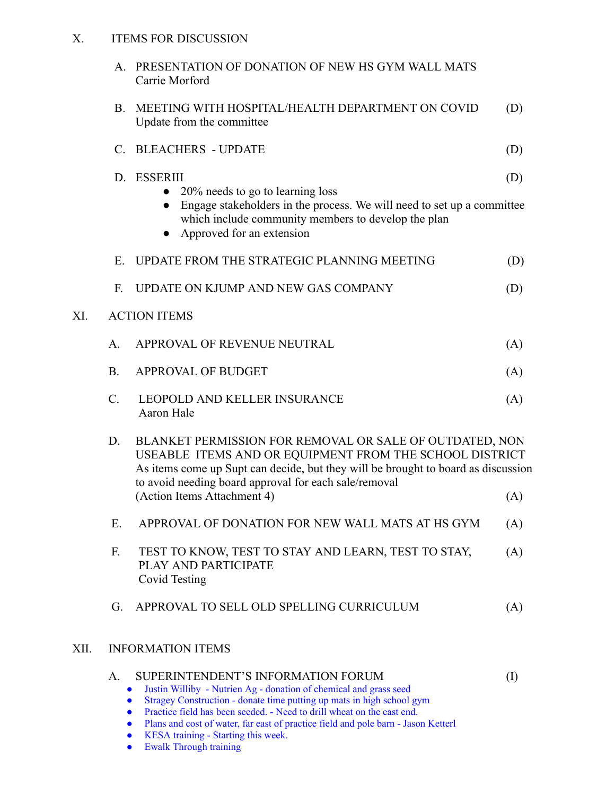#### X. ITEMS FOR DISCUSSION

|      |                          | A. PRESENTATION OF DONATION OF NEW HS GYM WALL MATS<br>Carrie Morford                                                                                                                                                                                                                |          |  |  |
|------|--------------------------|--------------------------------------------------------------------------------------------------------------------------------------------------------------------------------------------------------------------------------------------------------------------------------------|----------|--|--|
|      | B.                       | MEETING WITH HOSPITAL/HEALTH DEPARTMENT ON COVID<br>Update from the committee                                                                                                                                                                                                        | (D)      |  |  |
|      |                          | C. BLEACHERS - UPDATE                                                                                                                                                                                                                                                                | (D)      |  |  |
|      |                          | D. ESSERIII<br>20% needs to go to learning loss<br>• Engage stakeholders in the process. We will need to set up a committee<br>which include community members to develop the plan<br>Approved for an extension                                                                      | (D)      |  |  |
|      | E.                       | UPDATE FROM THE STRATEGIC PLANNING MEETING                                                                                                                                                                                                                                           | (D)      |  |  |
|      | F.                       | UPDATE ON KJUMP AND NEW GAS COMPANY                                                                                                                                                                                                                                                  | (D)      |  |  |
| XI.  | <b>ACTION ITEMS</b>      |                                                                                                                                                                                                                                                                                      |          |  |  |
|      | A.                       | APPROVAL OF REVENUE NEUTRAL                                                                                                                                                                                                                                                          | (A)      |  |  |
|      | <b>B.</b>                | <b>APPROVAL OF BUDGET</b>                                                                                                                                                                                                                                                            | (A)      |  |  |
|      | C.                       | LEOPOLD AND KELLER INSURANCE<br>Aaron Hale                                                                                                                                                                                                                                           | (A)      |  |  |
|      | D.                       | BLANKET PERMISSION FOR REMOVAL OR SALE OF OUTDATED, NON<br>USEABLE ITEMS AND OR EQUIPMENT FROM THE SCHOOL DISTRICT<br>As items come up Supt can decide, but they will be brought to board as discussion<br>to avoid needing board approval for each sale/removal                     |          |  |  |
|      |                          | (Action Items Attachment 4)                                                                                                                                                                                                                                                          | (A)      |  |  |
|      | E.                       | APPROVAL OF DONATION FOR NEW WALL MATS AT HS GYM                                                                                                                                                                                                                                     | (A)      |  |  |
|      | F.                       | TEST TO KNOW, TEST TO STAY AND LEARN, TEST TO STAY,<br>PLAY AND PARTICIPATE<br>Covid Testing                                                                                                                                                                                         | (A)      |  |  |
|      | G.                       | APPROVAL TO SELL OLD SPELLING CURRICULUM                                                                                                                                                                                                                                             | (A)      |  |  |
| XII. | <b>INFORMATION ITEMS</b> |                                                                                                                                                                                                                                                                                      |          |  |  |
|      | A.                       | SUPERINTENDENT'S INFORMATION FORUM<br>Justin Williby - Nutrien Ag - donation of chemical and grass seed<br>$\bullet$<br>Stragey Construction - donate time putting up mats in high school gym<br>Practice field has been seeded. - Need to drill wheat on the east end.<br>$\bullet$ | $\rm(I)$ |  |  |

- Plans and cost of water, far east of practice field and pole barn Jason Ketterl
- 
- KESA training Starting this week. **•** Ewalk Through training